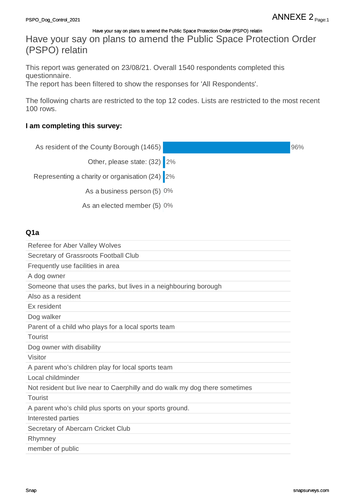Have your say on plans to amend the Public Space Protection Order (PSPO) relatin

This report was generated on 23/08/21. Overall 1540 respondents completed this questionnaire.

The report has been filtered to show the responses for 'All Respondents'.

The following charts are restricted to the top 12 codes. Lists are restricted to the most recent 100 rows.

# **I am completing this survey:**

| As resident of the County Borough (1465)                                    | 96% |
|-----------------------------------------------------------------------------|-----|
| Other, please state: (32) 2%                                                |     |
| Representing a charity or organisation (24) 2%                              |     |
| As a business person (5) 0%                                                 |     |
|                                                                             |     |
| As an elected member (5) 0%                                                 |     |
|                                                                             |     |
| Q1a                                                                         |     |
| Referee for Aber Valley Wolves                                              |     |
| Secretary of Grassroots Football Club                                       |     |
| Frequently use facilities in area                                           |     |
| A dog owner                                                                 |     |
| Someone that uses the parks, but lives in a neighbouring borough            |     |
| Also as a resident                                                          |     |
| Ex resident                                                                 |     |
| Dog walker                                                                  |     |
| Parent of a child who plays for a local sports team                         |     |
| <b>Tourist</b>                                                              |     |
| Dog owner with disability                                                   |     |
| Visitor                                                                     |     |
| A parent who's children play for local sports team                          |     |
| Local childminder                                                           |     |
| Not resident but live near to Caerphilly and do walk my dog there sometimes |     |
| <b>Tourist</b>                                                              |     |
| A parent who's child plus sports on your sports ground.                     |     |
| Interested parties                                                          |     |
| Secretary of Abercarn Cricket Club                                          |     |
| Rhymney                                                                     |     |
| member of public                                                            |     |
|                                                                             |     |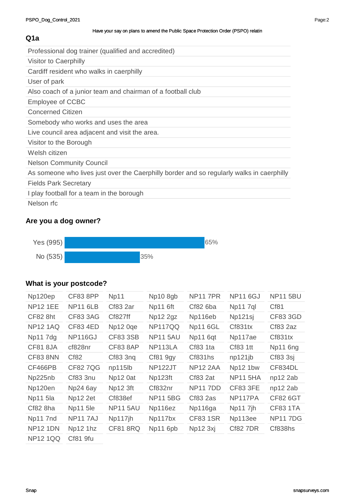# **Q1a**

| Professional dog trainer (qualified and accredited)                                       |
|-------------------------------------------------------------------------------------------|
|                                                                                           |
| <b>Visitor to Caerphilly</b>                                                              |
| Cardiff resident who walks in caerphilly                                                  |
| User of park                                                                              |
| Also coach of a junior team and chairman of a football club                               |
| <b>Employee of CCBC</b>                                                                   |
| <b>Concerned Citizen</b>                                                                  |
| Somebody who works and uses the area                                                      |
| Live council area adjacent and visit the area.                                            |
| Visitor to the Borough                                                                    |
| Welsh citizen                                                                             |
| <b>Nelson Community Council</b>                                                           |
| As someone who lives just over the Caerphilly border and so regularly walks in caerphilly |
| <b>Fields Park Secretary</b>                                                              |
| I play football for a team in the borough                                                 |
| Nelson rfc                                                                                |

# **Are you a dog owner?**



# **What is your postcode?**

| Np120ep         | <b>CF83 8PP</b> | Np11            | Np10 8gb        | <b>NP11 7PR</b> | <b>NP11 6GJ</b> | <b>NP11 5BU</b> |
|-----------------|-----------------|-----------------|-----------------|-----------------|-----------------|-----------------|
| <b>NP12 1EE</b> | <b>NP11 6LB</b> | <b>Cf83 2ar</b> | Np11 6ft        | Cf82 6ba        | Np11 7ql        | Cf81            |
| CF82 8ht        | <b>CF83 3AG</b> | Cf827ff         | Np12 2gz        | Np116eb         | Np121sj         | CF83 3GD        |
| <b>NP12 1AQ</b> | <b>CF83 4ED</b> | Np12 0ge        | NP117QQ         | <b>Np11 6GL</b> | Cf831tx         | Cf83 2az        |
| Np11 7dg        | NP116GJ         | CF83 3SB        | <b>NP11 5AU</b> | Np11 6qt        | Np117ae         | Cf831tx         |
| CF81 8JA        | cf828nr         | CF83 8AP        | NP113LA         | Cf83 1ta        | Cf83 1tt        | Np11 6ng        |
| <b>CF83 8NN</b> | Cf82            | Cf83 3ng        | <b>Cf81 9gy</b> | Cf831hs         | np121jb         | Cf83 3sj        |
| CF466PB         | <b>CF827QG</b>  | np115lb         | NP122JT         | <b>NP12 2AA</b> | Np12 1bw        | CF834DL         |
| Np225nb         | <b>Cf83 3nu</b> | Np12 0at        | Np123ft         | Cf83 2at        | <b>NP11 5HA</b> | np12 2ab        |
| Np120en         | Np24 6ay        | Np12 3ft        | Cf832nr         | <b>NP117DD</b>  | <b>CF83 3FE</b> | np12 2ab        |
| Np11 5la        | Np12 2et        | Cf838ef         | <b>NP11 5BG</b> | Cf83 2as        | NP117PA         | <b>CF82 6GT</b> |
| Cf82 8ha        | <b>Np11 5le</b> | <b>NP11 5AU</b> | Np116ez         | Np116ga         | Np11 7jh        | <b>CF83 1TA</b> |
| Np11 7nd        | NP117AJ         | Np117jh         | Np117bx         | <b>CF83 1SR</b> | Np113ee         | <b>NP117DG</b>  |
| <b>NP12 1DN</b> | Np12 1hz        | <b>CF81 8RQ</b> | Np11 6pb        | Np12 3xj        | <b>Cf82 7DR</b> | Cf838hs         |
| <b>NP12 1QQ</b> | Cf81 9fu        |                 |                 |                 |                 |                 |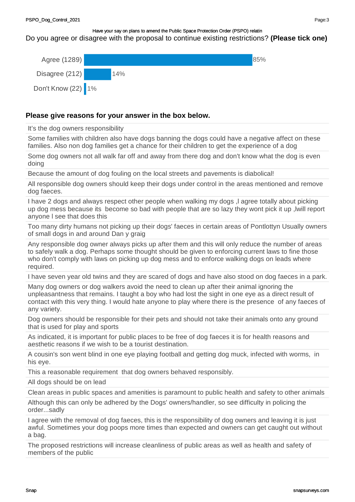# Do you agree or disagree with the proposal to continue existing restrictions? **(Please tick one)**



# **Please give reasons for your answer in the box below.**

It's the dog owners responsibility

Some families with children also have dogs banning the dogs could have a negative affect on these families. Also non dog families get a chance for their children to get the experience of a dog

Some dog owners not all walk far off and away from there dog and don't know what the dog is even doing

Because the amount of dog fouling on the local streets and pavements is diabolical!

All responsible dog owners should keep their dogs under control in the areas mentioned and remove dog faeces.

I have 2 dogs and always respect other people when walking my dogs ,l agree totally about picking up dog mess because its become so bad with people that are so lazy they wont pick it up ,lwill report anyone l see that does this

Too many dirty humans not picking up their dogs' faeces in certain areas of Pontlottyn Usually owners of small dogs in and around Dan y graig

Any responsible dog owner always picks up after them and this will only reduce the number of areas to safely walk a dog. Perhaps some thought should be given to enforcing current laws to fine those who don't comply with laws on picking up dog mess and to enforce walking dogs on leads where required.

I have seven year old twins and they are scared of dogs and have also stood on dog faeces in a park.

Many dog owners or dog walkers avoid the need to clean up after their animal ignoring the unpleasantness that remains. I taught a boy who had lost the sight in one eye as a direct result of contact with this very thing. I would hate anyone to play where there is the presence of any faeces of any variety.

Dog owners should be responsible for their pets and should not take their animals onto any ground that is used for play and sports

As indicated, it is important for public places to be free of dog faeces it is for health reasons and aesthetic reasons if we wish to be a tourist destination.

A cousin's son went blind in one eye playing football and getting dog muck, infected with worms, in his eye.

This a reasonable requirement that dog owners behaved responsibly.

All dogs should be on lead

Clean areas in public spaces and amenities is paramount to public health and safety to other animals

Although this can only be adhered by the Dogs' owners/handler, so see difficulty in policing the order...sadly

I agree with the removal of dog faeces, this is the responsibility of dog owners and leaving it is just awful. Sometimes your dog poops more times than expected and owners can get caught out without a bag.

The proposed restrictions will increase cleanliness of public areas as well as health and safety of members of the public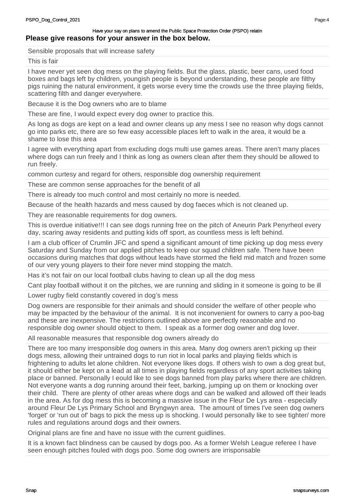Sensible proposals that will increase safety

This is fair

I have never yet seen dog mess on the playing fields. But the glass, plastic, beer cans, used food boxes and bags left by children, youngish people is beyond understanding, these people are filthy pigs ruining the natural environment, it gets worse every time the crowds use the three playing fields, scattering filth and danger everywhere.

Because it is the Dog owners who are to blame

These are fine, I would expect every dog owner to practice this.

As long as dogs are kept on a lead and owner cleans up any mess I see no reason why dogs cannot go into parks etc, there are so few easy accessible places left to walk in the area, it would be a shame to lose this area

I agree with everything apart from excluding dogs multi use games areas. There aren't many places where dogs can run freely and I think as long as owners clean after them they should be allowed to run freely.

common curtesy and regard for others, responsible dog ownership requirement

These are common sense approaches for the benefit of all

There is already too much control and most certainly no more is needed.

Because of the health hazards and mess caused by dog faeces which is not cleaned up.

They are reasonable requirements for dog owners.

This is overdue initiative!!! I can see dogs running free on the pitch of Aneurin Park Penyrheol every day, scaring away residents and putting kids off sport, as countless mess is left behind.

I am a club officer of Crumlin JFC and spend a significant amount of time picking up dog mess every Saturday and Sunday from our applied pitches to keep our squad children safe. There have been occasions during matches that dogs without leads have stormed the field mid match and frozen some of our very young players to their fore never mind stopping the match.

Has it's not fair on our local football clubs having to clean up all the dog mess

Cant play football without it on the pitches, we are running and sliding in it someone is going to be ill

Lower rugby field constantly covered in dog's mess

Dog owners are responsible for their animals and should consider the welfare of other people who may be impacted by the behaviour of the animal. It is not inconvenient for owners to carry a poo-bag and these are inexpensive. The restrictions outlined above are perfectly reasonable and no responsible dog owner should object to them. I speak as a former dog owner and dog lover.

All reasonable measures that responsible dog owners already do

There are too many irresponsible dog owners in this area. Many dog owners aren't picking up their dogs mess, allowing their untrained dogs to run riot in local parks and playing fields which is frightening to adults let alone children. Not everyone likes dogs. If others wish to own a dog great but, it should either be kept on a lead at all times in playing fields regardless of any sport activities taking place or banned. Personally I eould like to see dogs banned from play parks where there are children. Not everyone wants a dog running around their feet, barking, jumping up on them or knocking over their child. There are plenty of other areas where dogs and can be walked and allowed off their leads in the area. As for dog mess this is becoming a massive issue in the Fleur De Lys area - especially around Fleur De Lys Primary School and Bryngwyn area. The amount of times I've seen dog owners 'forget' or 'run out of' bags to pick the mess up is shocking. I would personally like to see tighter/ more rules and regulations around dogs and their owners.

Original plans are fine and have no issue with the current guidlines.

It is a known fact blindness can be caused by dogs poo. As a former Welsh League referee I have seen enough pitches fouled with dogs poo. Some dog owners are irrisponsable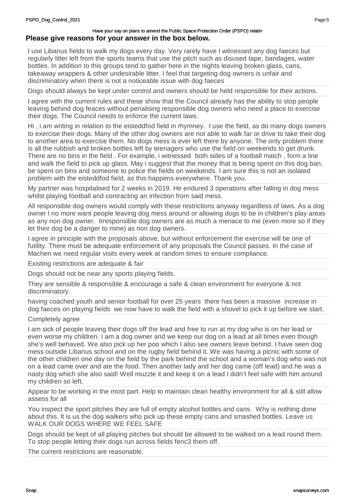I use Libanus fields to walk my dogs every day. Very rarely have I witnessed any dog faeces but regularly litter left from the sports teams that use the pitch such as disused tape, bandages, water bottles. In addition to this groups tend to gather here in the nights leaving broken glass, cans, takeaway wrappers & other undesirable litter. I feel that targeting dog owners is unfair and discriminatory when there is not a noticeable issue with dog faeces

Dogs should always be kept under control and owners should be held responsible for their actions.

I agree with the current rules and these show that the Council already has the ability to stop people leaving behind dog feaces without penalising responsible dog owners who need a place to exercise their dogs. The Council needs to enforce the current laws.

Hi , i am writing in relation to the eisteddfod field in rhymney. I use the field, as do many dogs owners to exercise their dogs. Many of the other dog owners are not able to walk far or drive to take their dog to another area to exercise them. No dogs mess is ever left there by anyone. The only problem there is all the rubbish and broken bottles left by teenagers who use the field on weekends to get drunk. There are no bins in the field . For example, i witnessed both sides of a football match , form a line and walk the field to pick up glass. May i suggest that the money that is being spent on this dog ban, be spent on bins and someone to police the fields on weekends. I am sure this is not an isolated problem with the eisteddfod field, as this happens everywhere. Thank you.

My partner was hospitalised for 2 weeks in 2019. He endured 3 operations after falling in dog mess whilst playing football and contracting an infection from said mess.

All responsible dog owners would comply with these restrictions anyway regardless of laws. As a dog owner I no more want people leaving dog mess around or allowing dogs to be in children's play areas as any non dog owner. Irresponsible dog owners are as much a menace to me (even more so if they let their dog be a danger to mine) as non dog owners.

I agree in principle with the proposals above, but without enforcement the exercise will be one of futility. There must be adequate enforcement of any proposals the Council passes. In the case of Machen we need regular visits every week at random times to ensure compliance.

Existing restrictions are adequate & fair

Dogs should not be near any sports playing fields.

They are sensible & responsible & encourage a safe & clean environment for everyone & not discriminatory.

having coached youth and senior football for over 25 years there has been a massive increase in dog faeces on playing fields we now have to walk the field with a shovel to pick it up before we start.

#### Completely agree

I am sick of people leaving their dogs off the lead and free to run at my dog who is on her lead or even worse my children. I am a dog owner and we keep our dog on a lead at all times even though she's well behaved. We also pick up her poo which I also see owners leave behind. I have seen dog mess outside Libanus school and on the rugby field behind it. We was having a picnic with some of the other children one day on the field by the park behind the school and a woman's dog who was not on a lead came over and ate the food. Then another lady and her dog came (off lead) and he was a nasty dog which she also said! Well muzzle it and keep it on a lead I didn't feel safe with him around my children so left.

Appear to be working in the most part. Help to maintain clean healthy environment for all & still allow assess for all

You inspect the sport pitches they are full of empty alcohol bottles and cans. Why is nothing done about this. It is us the dog walkers who pick up these empty cans and smashed bottles. Leave us WALK OUR DOGS WHERE WE FEEL SAFE

Dogs should be kept of all playing pitches but should be allowed to be walked on a lead round them. To stop people letting their dogs run across fields fenc3 them off.

The current restrictions are reasonable.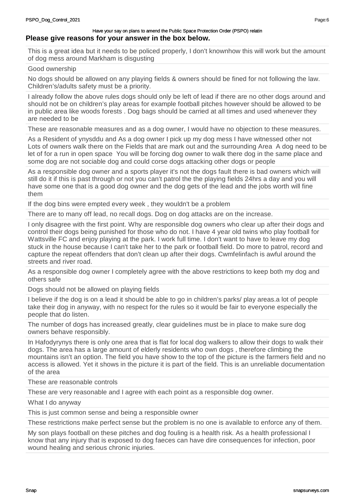This is a great idea but it needs to be policed properly, I don't knownhow this will work but the amount of dog mess around Markham is disgusting

Good ownership

No dogs should be allowed on any playing fields & owners should be fined for not following the law. Children's/adults safety must be a priority.

I already follow the above rules dogs should only be left of lead if there are no other dogs around and should not be on children's play areas for example football pitches however should be allowed to be in public area like woods forests . Dog bags should be carried at all times and used whenever they are needed to be

These are reasonable measures and as a dog owner, I would have no objection to these measures.

As a Resident of ynysddu and As a dog owner I pick up my dog mess I have witnessed other not Lots of owners walk there on the Fields that are mark out and the surrounding Area A dog need to be let of for a run in open space You will be forcing dog owner to walk there dog in the same place and some dog are not sociable dog and could corse dogs attacking other dogs or people

As a responsible dog owner and a sports player it's not the dogs fault there is bad owners which will still do it if this is past through or not you can't patrol the the playing fields 24hrs a day and you will have some one that is a good dog owner and the dog gets of the lead and the jobs worth will fine them

If the dog bins were empted every week , they wouldn't be a problem

There are to many off lead, no recall dogs. Dog on dog attacks are on the increase.

I only disagree with the first point. Why are responsible dog owners who clear up after their dogs and control their dogs being punished for those who do not. I have 4 year old twins who play football for Wattsville FC and enjoy playing at the park. I work full time. I don't want to have to leave my dog stuck in the house because I can't take her to the park or football field. Do more to patrol, record and capture the repeat offenders that don't clean up after their dogs. Cwmfelinfach is awful around the streets and river road.

As a responsible dog owner I completely agree with the above restrictions to keep both my dog and others safe

Dogs should not be allowed on playing fields

I believe if the dog is on a lead it should be able to go in children's parks/ play areas.a lot of people take their dog in anyway, with no respect for the rules so it would be fair to everyone especially the people that do listen.

The number of dogs has increased greatly, clear guidelines must be in place to make sure dog owners behave responsibly.

In Hafodyrynys there is only one area that is flat for local dog walkers to allow their dogs to walk their dogs. The area has a large amount of elderly residents who own dogs , therefore climbing the mountains isn't an option. The field you have show to the top of the picture is the farmers field and no access is allowed. Yet it shows in the picture it is part of the field. This is an unreliable documentation of the area

These are reasonable controls

These are very reasonable and I agree with each point as a responsible dog owner.

What I do anyway

This is just common sense and being a responsible owner

These restrictions make perfect sense but the problem is no one is available to enforce any of them.

My son plays football on these pitches and dog fouling is a health risk. As a health professional I know that any injury that is exposed to dog faeces can have dire consequences for infection, poor wound healing and serious chronic injuries.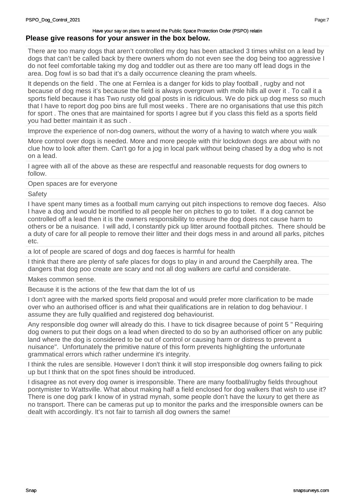There are too many dogs that aren't controlled my dog has been attacked 3 times whilst on a lead by dogs that can't be called back by there owners whom do not even see the dog being too aggressive I do not feel comfortable taking my dog and toddler out as there are too many off lead dogs in the area. Dog fowl is so bad that it's a daily occurrence cleaning the pram wheels.

It depends on the field . The one at Fernlea is a danger for kids to play football , rugby and not because of dog mess it's because the field is always overgrown with mole hills all over it . To call it a sports field because it has Two rusty old goal posts in is ridiculous. We do pick up dog mess so much that I have to report dog poo bins are full most weeks . There are no organisations that use this pitch for sport . The ones that are maintained for sports I agree but if you class this field as a sports field you had better maintain it as such .

Improve the experience of non-dog owners, without the worry of a having to watch where you walk

More control over dogs is needed. More and more people with thir lockdown dogs are about with no clue how to look after them. Can't go for a jog in local park without being chased by a dog who is not on a lead.

I agree with all of the above as these are respectful and reasonable requests for dog owners to follow.

Open spaces are for everyone

**Safety** 

I have spent many times as a football mum carrying out pitch inspections to remove dog faeces. Also I have a dog and would be mortified to all people her on pitches to go to toilet. If a dog cannot be controlled off a lead then it is the owners responsibility to ensure the dog does not cause harm to others or be a nuisance. I will add, I constantly pick up litter around football pitches. There should be a duty of care for all people to remove their litter and their dogs mess in and around all parks, pitches etc.

a lot of people are scared of dogs and dog faeces is harmful for health

I think that there are plenty of safe places for dogs to play in and around the Caerphilly area. The dangers that dog poo create are scary and not all dog walkers are carful and considerate.

Makes common sense.

Because it is the actions of the few that dam the lot of us

I don't agree with the marked sports field proposal and would prefer more clarification to be made over who an authorised officer is and what their qualifications are in relation to dog behaviour. I assume they are fully qualified and registered dog behaviourist.

Any responsible dog owner will already do this. I have to tick disagree because of point 5 " Requiring dog owners to put their dogs on a lead when directed to do so by an authorised officer on any public land where the dog is considered to be out of control or causing harm or distress to prevent a nuisance". Unfortunately the primitive nature of this form prevents highlighting the unfortunate grammatical errors which rather undermine it's integrity.

I think the rules are sensible. However I don't think it will stop irresponsible dog owners failing to pick up but I think that on the spot fines should be introduced.

I disagree as not every dog owner is irresponsible. There are many football/rugby fields throughout pontymister to Wattsville. What about making half a field enclosed for dog walkers that wish to use it? There is one dog park I know of in ystrad mynah, some people don't have the luxury to get there as no transport. There can be cameras put up to monitor the parks and the irresponsible owners can be dealt with accordingly. It's not fair to tarnish all dog owners the same!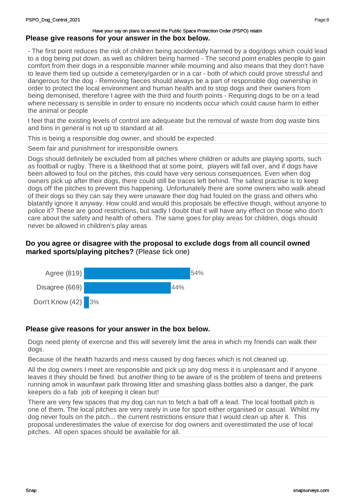- The first point reduces the risk of children being accidentally harmed by a dog/dogs which could lead to a dog being put down, as well as children being harmed - The second point enables people to gain comfort from their dogs in a responsible manner while mourning and also means that they don't have to leave them tied up outside a cemetery/garden or in a car - both of which could prove stressful and dangerous for the dog - Removing faeces should always be a part of responsible dog ownership in order to protect the local environment and human health and to stop dogs and their owners from being demonised, therefore I agree with the third and fourth points - Requiring dogs to be on a lead where necessary is sensible in order to ensure no incidents occur which could cause harm to either the animal or people

I feel that the existing levels of control are adequeate but the removal of waste from dog waste bins and bins in general is not up to standard at all.

This is being a responsible dog owner, and should be expected.

Seem fair and punishment for irresponsible owners

Dogs should definitely be excluded from all pitches where children or adults are playing sports, such as football or rugby. There is a likelihood that at some point, players will fall over, and if dogs have been allowed to foul on the pitches, this could have very serious consequences. Even when dog owners pick up after their dogs, there could still be traces left behind. The safest practise is to keep dogs off the pitches to prevent this happening. Unfortunately there are some owners who walk ahead of their dogs so they can say they were unaware their dog had fouled on the grass and others who blatantly ignore it anyway. How could and would this proposals be effective though, without anyone to police it? These are good restrictions, but sadly I doubt that it will have any effect on those who don't care about the safety and health of others. The same goes for play areas for children, dogs should never be allowed in children's play areas

# **Do you agree or disagree with the proposal to exclude dogs from all council owned marked sports/playing pitches?** (Please tick one)



# **Please give reasons for your answer in the box below.**

Dogs need plenty of exercise and this will severely limit the area in which my friends can walk their dogs.

Because of the health hazards and mess caused by dog faeces which is not cleaned up.

All the dog owners I meet are responsible and pick up any dog mess it is unpleasant and if anyone leaves it they should be fined. but another thing to be aware of is the problem of teens and preteens running amok in waunfawr park throwing litter and smashing glass bottles also a danger, the park keepers do a fab job of keeping it clean but!

There are very few spaces that my dog can run to fetch a ball off a lead. The local football pitch is one of them. The local pitches are very rarely in use for sport either organised or casual. Whilst my dog never fouls on the pitch... the current restrictions ensure that I would clean up after it. This proposal underestimates the value of exercise for dog owners and overestimated the use of local pitches. All open spaces should be available for all.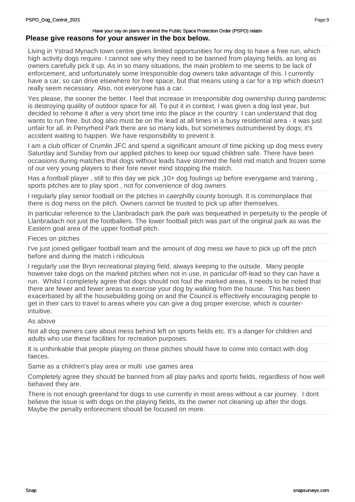Living in Ystrad Mynach town centre gives limited opportunities for my dog to have a free run, which high activity dogs require. I cannot see why they need to be banned from playing fields, as long as owners carefully pick it up. As in so many situations, the main problem to me seems to be lack of enforcement, and unfortunately some irresponsible dog owners take advantage of this. I currently have a car, so can drive elsewhere for free space, but that means using a car for a trip which doesn't really seem necessary. Also, not everyone has a car.

Yes please, the sooner the better. I feel that increase in irresponsible dog ownership during pandemic is destroying quality of outdoor space for all. To put it in context, I was given a dog last year, but decided to rehome it after a very short time into the place in the country. I can understand that dog wants to run free, but dog also must be on the lead at all times in a busy residential area - it was just unfair for all. in Penyrheol Park there are so many kids, but sometimes outnumbered by dogs; it's accident waiting to happen. We have responsibility to prevent it.

I am a club officer of Crumlin JFC and spend a significant amount of time picking up dog mess every Saturday and Sunday from our applied pitches to keep our squad children safe. There have been occasions during matches that dogs without leads have stormed the field mid match and frozen some of our very young players to their fore never mind stopping the match.

Has a football player , still to this day we pick ,10+ dog foulings up before everygame and training , sports pitches are to play sport , not for convenience of dog owners

I regularly play senior football on the pitches in caerphilly county borough. It is commonplace that there is dog mess on the pitch. Owners cannot be trusted to pick up after themselves.

In particular reference to the Llanbradach park the park was bequeathed in perpetuity to the people of Llanbradach not just the footballers. The lower football pitch was part of the original park as was the Eastern goal area of the upper football pitch.

## Fieces on pitches

I've just joined gelligaer football team and the amount of dog mess we have to pick up off the pitch before and during the match i ridiculous

I regularly use the Bryn recreational playing field, always keeping to the outside. Many people however take dogs on the marked pitches when not in use, in particular off-lead so they can have a run. Whilst I completely agree that dogs should not foul the marked areas, it needs to be noted that there are fewer and fewer areas to exercise your dog by walking from the house. This has been exacerbated by all the housebuilding going on and the Council is effectively encouraging people to get in their cars to travel to areas where you can give a dog proper exercise, which is counterintuitive.

#### As above

Not all dog owners care about mess behind left on sports fields etc. It's a danger for children and adults who use these facilities for recreation purposes.

It is unthinkable that people playing on these pitches should have to come into contact with dog faeces.

Same as a children's play area or multi use games area

Completely agree they should be banned from all play parks and sports fields, regardless of how well behaved they are.

There is not enough greenland for dogs to use currently in most areas without a car journey. I dont believe the issue is with dogs on the playing fields, its the owner not cleaning up after thir dogs. Maybe the penalty enforecment should be focused on more.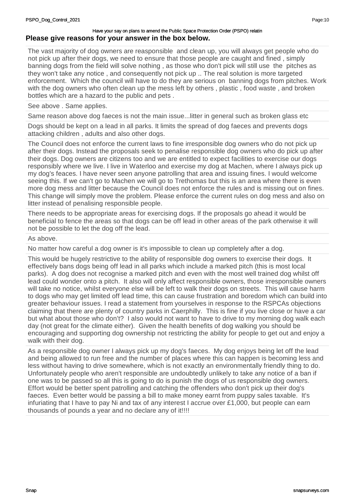The vast majority of dog owners are reasponsible and clean up, you will always get people who do not pick up after their dogs, we need to ensure that those people are caught and fined , simply banning dogs from the field will solve nothing , as those who don't pick will still use the pitches as they won't take any notice , and consequently not pick up .. The real solution is more targeted enforcement. Which the council will have to do they are serious on banning dogs from pitches. Work with the dog owners who often clean up the mess left by others , plastic , food waste , and broken bottles which are a hazard to the public and pets .

### See above . Same applies.

Same reason above dog faeces is not the main issue...litter in general such as broken glass etc

Dogs should be kept on a lead in all parks. It limits the spread of dog faeces and prevents dogs attacking children , adults and also other dogs.

The Council does not enforce the current laws to fine irresponsible dog owners who do not pick up after their dogs. Instead the proposals seek to penalise responsible dog owners who do pick up after their dogs. Dog owners are citizens too and we are entitled to expect facilities to exercise our dogs responsibly where we live. I live in Waterloo and exercise my dog at Machen, where I always pick up my dog's feaces. I have never seen anyone patrolling that area and issuing fines. I would welcome seeing this. If we can't go to Machen we will go to Trethomas but this is an area where there is even more dog mess and litter because the Council does not enforce the rules and is missing out on fines. This change will simply move the problem. Please enforce the current rules on dog mess and also on litter instead of penalising responsible people.

There needs to be appropriate areas for exercising dogs. If the proposals go ahead it would be beneficial to fence the areas so that dogs can be off lead in other areas of the park otherwise it will not be possible to let the dog off the lead.

#### As above.

No matter how careful a dog owner is it's impossible to clean up completely after a dog.

This would be hugely restrictive to the ability of responsible dog owners to exercise their dogs. It effectively bans dogs being off lead in all parks which include a marked pitch (this is most local parks). A dog does not recognise a marked pitch and even with the most well trained dog whilst off lead could wonder onto a pitch. It also will only affect responsible owners, those irresponsible owners will take no notice, whilst everyone else will be left to walk their dogs on streets. This will cause harm to dogs who may get limited off lead time, this can cause frustration and boredom which can build into greater behaviour issues. I read a statement from yourselves in response to the RSPCAs objections claiming that there are plenty of country parks in Caerphilly. This is fine if you live close or have a car but what about those who don't? I also would not want to have to drive to my morning dog walk each day (not great for the climate either). Given the health benefits of dog walking you should be encouraging and supporting dog ownership not restricting the ability for people to get out and enjoy a walk with their dog.

As a responsible dog owner I always pick up my dog's faeces. My dog enjoys being let off the lead and being allowed to run free and the number of places where this can happen is becoming less and less without having to drive somewhere, which is not exactly an environmentally friendly thing to do. Unfortunately people who aren't responsible are undoubtedly unlikely to take any notice of a ban if one was to be passed so all this is going to do is punish the dogs of us responsible dog owners. Effort would be better spent patrolling and catching the offenders who don't pick up their dog's faeces. Even better would be passing a bill to make money earnt from puppy sales taxable. It's infuriating that I have to pay Ni and tax of any interest I accrue over £1,000, but people can earn thousands of pounds a year and no declare any of it!!!!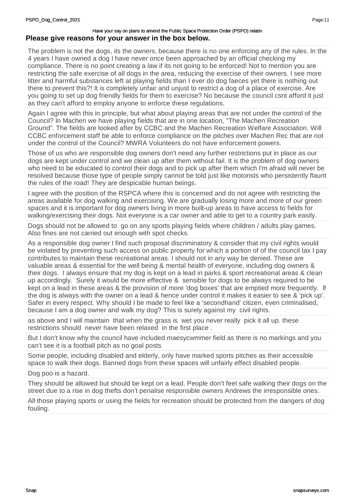The problem is not the dogs, its the owners, because there is no one enforcing any of the rules. In the 4 years I have owned a dog I have never once been approached by an official checking my compliance. There is no point creating a law if its not going to be enforced! Not to mention you are restricting the safe exercise of all dogs in the area, reducing the exercise of their owners. I see more litter and harmful substances left at playing fields than I ever do dog faeces yet there is nothing out there to prevent this?! It is completely unfair and unjust to restrict a dog of a place of exercise. Are you going to set up dog friendly fields for them to exercise? No because the council csnt afford it just as they can't afford to employ anyone to enforce these regulations.

Again I agree with this in principle, but what about playing areas that are not under the control of the Council? In Machen we have playing fields that are in one location, "The Machen Recreation Ground". The fields are looked after by CCBC and the Machen Recreation Welfare Association. Will CCBC enforcement staff be able to enforce compliance on the pitches over Machen Rec that are not under the control of the Council? MWRA Volunteers do not have enforcement powers.

Those of us who are responsible dog owners don't need any further restrictions put in place as our dogs are kept under control and we clean up after them without fail. It is the problem of dog owners who need to be educated to control their dogs and to pick up after them which I'm afraid will never be resolved because those type of people simply cannot be told just like motorists who persistently flaunt the rules of the road! They are despicable human beings.

I agree with the position of the RSPCA where this is concerned and do not agree with restricting the areas available for dog walking and exercising. We are gradually losing more and more of our green spaces and it is important for dog owners living in more built-up areas to have access to fields for walking/exercising their dogs. Not everyone is a car owner and able to get to a country park easily.

Dogs should not be allowed to go on any sports playing fields where children / adults play games. Also fines are not carried out enough with spot checks.

As a responsible dog owner I find such proposal discriminatory & consider that my civil rights would be violated by preventing such access on public property for which a portion of of the council tax I pay contributes to maintain these recreational areas. I should not in any way be denied. These are valuable areas & essential for the well being & mental health of everyone, including dog owners & their dogs. I always ensure that my dog is kept on a lead in parks & sport recreational areas & clean up accordingly. Surely it would be more effective & sensible for dogs to be always required to be kept on a lead in these areas & the provision of more 'dog boxes' that are emptied more frequently. If the dog is always with the owner on a lead & hence under control it makes it easier to see & 'pick up'. Safer in every respect. Why should I be made to feel like a 'secondhand' citizen, even criminalised, because I am a dog owner and walk my dog? This is surely against my civil rights.

as above and I will maintain that when the grass is wet you never really pick it all up. these restrictions should never have been relaxed in the first place .

But I don't know why the council have included maesycwmmer field as there is no markings and you can't see it is a football pitch as no goal posts

Some people, including disabled and elderly, only have marked sports pitches as their accessible space to walk their dogs. Banned dogs from these spaces will unfairly effect disabled people.

Dog poo is a hazard.

They should be allowed but should be kept on a lead. People don't feel safe walking their dogs on the street due to a rise in dog thefts don't penalise responsible owners Andrews the irresponsible ones.

All those playing sports or using the fields for recreation should be protected from the dangers of dog fouling.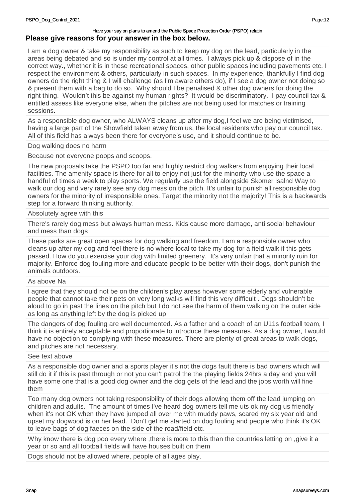I am a dog owner & take my responsibility as such to keep my dog on the lead, particularly in the areas being debated and so is under my control at all times. I always pick up & dispose of in the correct way., whether it is in these recreational spaces, other public spaces including pavements etc. I respect the environment & others, particularly in such spaces. In my experience, thankfully I find dog owners do the right thing & I will challenge (as I'm aware others do), if I see a dog owner not doing so & present them with a bag to do so. Why should I be penalised & other dog owners for doing the right thing. Wouldn't this be against my human rights? It would be discriminatory. I pay council tax & entitled assess like everyone else, when the pitches are not being used for matches or training sessions.

As a responsible dog owner, who ALWAYS cleans up after my dog,I feel we are being victimised, having a large part of the Showfield taken away from us, the local residents who pay our council tax. All of this field has always been there for everyone's use, and it should continue to be.

Dog walking does no harm

Because not everyone poops and scoops.

The new proposals take the PSPO too far and highly restrict dog walkers from enjoying their local facilities. The amenity space is there for all to enjoy not just for the minority who use the space a handful of times a week to play sports. We regularly use the field alongside Skomer Isalnd Way to walk our dog and very rarely see any dog mess on the pitch. It's unfair to punish all responsible dog owners for the minority of irresponsible ones. Target the minority not the majority! This is a backwards step for a forward thinking authority.

#### Absolutely agree with this

There's rarely dog mess but always human mess. Kids cause more damage, anti social behaviour and mess than dogs

These parks are great open spaces for dog walking and freedom. I am a responsible owner who cleans up after my dog and feel there is no where local to take my dog for a field walk if this gets passed. How do you exercise your dog with limited greenery. It's very unfair that a minority ruin for majority. Enforce dog fouling more and educate people to be better with their dogs, don't punish the animals outdoors.

#### As above Na

I agree that they should not be on the children's play areas however some elderly and vulnerable people that cannot take their pets on very long walks will find this very difficult . Dogs shouldn't be aloud to go in past the lines on the pitch but I do not see the harm of them walking on the outer side as long as anything left by the dog is picked up

The dangers of dog fouling are well documented. As a father and a coach of an U11s football team, I think it is entirely acceptable and proportionate to introduce these measures. As a dog owner, I would have no objection to complying with these measures. There are plenty of great areas to walk dogs, and pitches are not necessary.

#### See text above

As a responsible dog owner and a sports player it's not the dogs fault there is bad owners which will still do it if this is past through or not you can't patrol the the playing fields 24hrs a day and you will have some one that is a good dog owner and the dog gets of the lead and the jobs worth will fine them

Too many dog owners not taking responsibility of their dogs allowing them off the lead jumping on children and adults. The amount of times I've heard dog owners tell me uts ok my dog us friendly when it's not OK when they have jumped all over me with muddy paws, scared my six year old and upset my dogwood is on her lead. Don't get me started on dog fouling and people who think it's OK to leave bags of dog faeces on the side of the road/field etc.

Why know there is dog poo every where ,there is more to this than the countries letting on ,give it a year or so and all football fields will have houses built on them

Dogs should not be allowed where, people of all ages play.

Page:12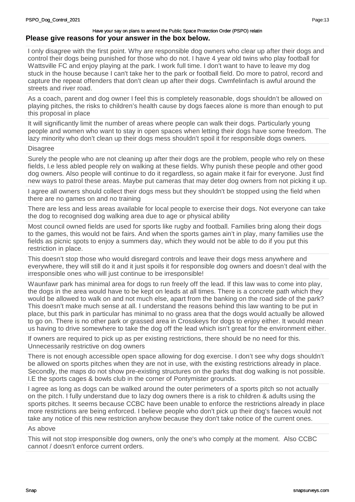I only disagree with the first point. Why are responsible dog owners who clear up after their dogs and control their dogs being punished for those who do not. I have 4 year old twins who play football for Wattsville FC and enjoy playing at the park. I work full time. I don't want to have to leave my dog stuck in the house because I can't take her to the park or football field. Do more to patrol, record and capture the repeat offenders that don't clean up after their dogs. Cwmfelinfach is awful around the streets and river road.

As a coach, parent and dog owner I feel this is completely reasonable, dogs shouldn't be allowed on playing pitches, the risks to children's health cause by dogs faeces alone is more than enough to put this proposal in place

It will significantly limit the number of areas where people can walk their dogs. Particularly young people and women who want to stay in open spaces when letting their dogs have some freedom. The lazy minority who don't clean up their dogs mess shouldn't spoil it for responsible dogs owners.

#### **Disagree**

Surely the people who are not cleaning up after their dogs are the problem, people who rely on these fields, I.e less abled people rely on walking at these fields. Why punish these people and other good dog owners. Also people will continue to do it regardless, so again make it fair for everyone. Just find new ways to patrol these areas. Maybe put cameras that may deter dog owners from not picking it up.

I agree all owners should collect their dogs mess but they shouldn't be stopped using the field when there are no games on and no training

There are less and less areas available for local people to exercise their dogs. Not everyone can take the dog to recognised dog walking area due to age or physical ability

Most council owned fields are used for sports like rugby and football. Families bring along their dogs to the games, this would not be fairs. And when the sports games ain't in play, many families use the fields as picnic spots to enjoy a summers day, which they would not be able to do if you put this restriction in place.

This doesn't stop those who would disregard controls and leave their dogs mess anywhere and everywhere, they will still do it and it just spoils it for responsible dog owners and doesn't deal with the irresponsible ones who will just continue to be irresponsible!

Waunfawr park has minimal area for dogs to run freely off the lead. If this law was to come into play, the dogs in the area would have to be kept on leads at all times. There is a concrete path which they would be allowed to walk on and not much else, apart from the banking on the road side of the park? This doesn't make much sense at all. I understand the reasons behind this law wanting to be put in place, but this park in particular has minimal to no grass area that the dogs would actually be allowed to go on. There is no other park or grassed area in Crosskeys for dogs to enjoy either. It would mean us having to drive somewhere to take the dog off the lead which isn't great for the environment either.

If owners are required to pick up as per existing restrictions, there should be no need for this. Unnecessarily restrictive on dog owners

There is not enough accessible open space allowing for dog exercise. I don't see why dogs shouldn't be allowed on sports pitches when they are not in use, with the existing restrictions already in place. Secondly, the maps do not show pre-existing structures on the parks that dog walking is not possible. I.E the sports cages & bowls club in the corner of Pontymister grounds.

I agree as long as dogs can be walked around the outer perimeters of a sports pitch so not actually on the pitch. I fully understand due to lazy dog owners there is a risk to children & adults using the sports pitches. It seems because CCBC have been unable to enforce the restrictions already in place more restrictions are being enforced. I believe people who don't pick up their dog's faeces would not take any notice of this new restriction anyhow because they don't take notice of the current ones.

#### As above

This will not stop irresponsible dog owners, only the one's who comply at the moment. Also CCBC cannot / doesn't enforce current orders.

Page:13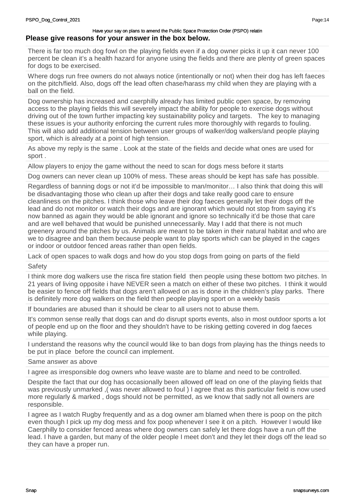There is far too much dog fowl on the playing fields even if a dog owner picks it up it can never 100 percent be clean it's a health hazard for anyone using the fields and there are plenty of green spaces for dogs to be exercised.

Where dogs run free owners do not always notice (intentionally or not) when their dog has left faeces on the pitch/field. Also, dogs off the lead often chase/harass my child when they are playing with a ball on the field.

Dog ownership has increased and caerphilly already has limited public open space, by removing access to the playing fields this will severely impact the ability for people to exercise dogs without driving out of the town further impacting key sustainability policy and targets. The key to managing these issues is your authority enforcing the current rules more thoroughly with regards to fouling. This will also add additional tension between user groups of walker/dog walkers/and people playing sport, which is already at a point of high tension.

As above my reply is the same . Look at the state of the fields and decide what ones are used for sport .

Allow players to enjoy the game without the need to scan for dogs mess before it starts

Dog owners can never clean up 100% of mess. These areas should be kept has safe has possible.

Regardless of banning dogs or not it'd be impossible to man/monitor… I also think that doing this will be disadvantaging those who clean up after their dogs and take really good care to ensure cleanliness on the pitches. I think those who leave their dog faeces generally let their dogs off the lead and do not monitor or watch their dogs and are ignorant which would not stop from saying it's now banned as again they would be able ignorant and ignore so technically it'd be those that care and are well behaved that would be punished unnecessarily. May I add that there is not much greenery around the pitches by us. Animals are meant to be taken in their natural habitat and who are we to disagree and ban them because people want to play sports which can be played in the cages or indoor or outdoor fenced areas rather than open fields.

Lack of open spaces to walk dogs and how do you stop dogs from going on parts of the field

Safety

I think more dog walkers use the risca fire station field then people using these bottom two pitches. In 21 years of living opposite i have NEVER seen a match on either of these two pitches. I think it would be easier to fence off fields that dogs aren't allowed on as is done in the children's play parks. There is definitely more dog walkers on the field then people playing sport on a weekly basis

If boundaries are abused than it should be clear to all users not to abuse them.

It's common sense really that dogs can and do disrupt sports events, also in most outdoor sports a lot of people end up on the floor and they shouldn't have to be risking getting covered in dog faeces while playing.

I understand the reasons why the council would like to ban dogs from playing has the things needs to be put in place before the council can implement.

### Same answer as above

I agree as irresponsible dog owners who leave waste are to blame and need to be controlled.

Despite the fact that our dog has occasionally been allowed off lead on one of the playing fields that was previously unmarked ,( was never allowed to foul ) I agree that as this particular field is now used more regularly & marked , dogs should not be permitted, as we know that sadly not all owners are responsible.

I agree as I watch Rugby frequently and as a dog owner am blamed when there is poop on the pitch even though I pick up my dog mess and fox poop whenever I see it on a pitch. However I would like Caerphilly to consider fenced areas where dog owners can safely let there dogs have a run off the lead. I have a garden, but many of the older people I meet don't and they let their dogs off the lead so they can have a proper run.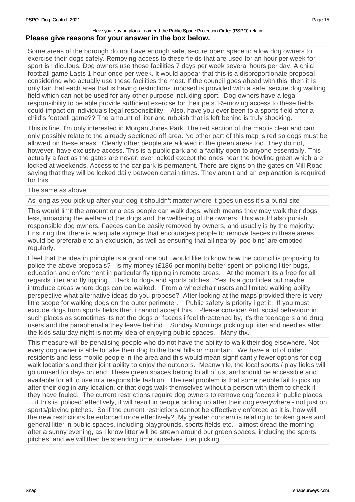Some areas of the borough do not have enough safe, secure open space to allow dog owners to exercise their dogs safely. Removing access to these fields that are used for an hour per week for sport is ridiculous. Dog owners use these facilities 7 days per week several hours per day. A child football game Lasts 1 hour once per week. It would appear that this is a disproportionate proposal considering who actually use these facilities the most. If the council goes ahead with this, then it is only fair that each area that is having restrictions imposed is provided with a safe, secure dog walking field which can not be used for any other purpose including sport. Dog owners have a legal responsibility to be able provide sufficient exercise for their pets. Removing access to these fields could impact on individuals legal responsibility. Also, have you ever been to a sports field after a child's football game?? The amount of liter and rubbish that is left behind is truly shocking.

This is fine. I'm only interested in Morgan Jones Park. The red section of the map is clear and can only possibly relate to the already sectioned off area. No other part of this map is red so dogs must be allowed on these areas. Clearly other people are allowed in the green areas too. They do not, however, have exclusive access. This is a public park and a facility open to anyone essentially. This actually a fact as the gates are never, ever locked except the ones near the bowling green which are locked at weekends. Access to the car park is permanent. There are signs on the gates on Mill Road saying that they will be locked daily between certain times. They aren't and an explanation is required for this.

#### The same as above

As long as you pick up after your dog it shouldn't matter where it goes unless it's a burial site

This would limit the amount or areas people can walk dogs, which means they may walk their dogs less, impacting the welfare of the dogs and the wellbeing of the owners. This would also punish responsible dog owners. Faeces can be easily removed by owners, and usually is by the majority. Ensuring that there is adequate signage that encourages people to remove faeces in these areas would be preferable to an exclusion, as well as ensuring that all nearby 'poo bins' are emptied regularly.

I feel that the idea in principle is a good one but i would like to know how the council is proposing to police the above proposals? Is my money  $(E186$  per month) better spent on policing litter bugs, education and enforcment in particular fly tipping in remote areas. At the moment its a free for all regards litter and fly tipping. Back to dogs and sports pitches. Yes its a good idea but maybe introduce areas where dogs can be walked. From a wheelchair users and limited walking ability perspective what alternative ideas do you propose? After looking at the maps provided there is very little scope for walking dogs on the outer perimeter. Public safety is priority i get it. If you must excude dogs from sports fields then i cannot accept this. Please consider Anti social behaviour in such places as sometimes its not the dogs or faeces i feel threatened by, it's the teenagers and drug users and the paraphenalia they leave behind. Sunday Mornings picking up litter and needles after the kids saturday night is not my idea of enjoying public spaces. Many thx.

This measure will be penalising people who do not have the ability to walk their dog elsewhere. Not every dog owner is able to take their dog to the local hills or mountain. We have a lot of older residents and less mobile people in the area and this would mean significantly fewer options for dog walk locations and their joint ability to enjoy the outdoors. Meanwhile, the local sports / play fields will go unused for days on end. These green spaces belong to all of us, and should be accessible and available for all to use in a responsible fashion. The real problem is that some people fail to pick up after their dog in any location, or that dogs walk themselves without a person with them to check if they have fouled. The current restrictions require dog owners to remove dog faeces in public places ....if this is 'policed' effectively, it will result in people picking up after their dog everywhere - not just on sports/playing pitches. So if the current restrictions cannot be effectively enforced as it is, how will the new restrictions be enforced more effectively? My greater concern is relating to broken glass and general litter in public spaces, including playgrounds, sports fields etc. I almost dread the morning after a sunny evening, as I know litter will be strewn around our green spaces, including the sports pitches, and we will then be spending time ourselves litter picking.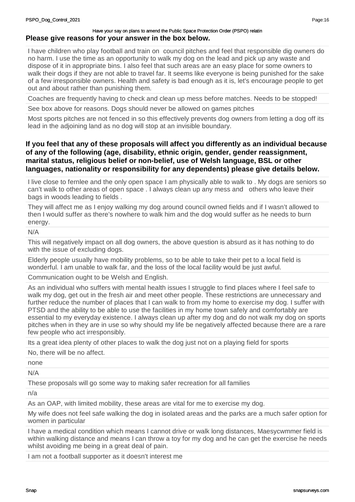I have children who play football and train on council pitches and feel that responsible dig owners do no harm. I use the time as an opportunity to walk my dog on the lead and pick up any waste and dispose of it in appropriate bins. I also feel that such areas are an easy place for some owners to walk their dogs if they are not able to travel far. It seems like everyone is being punished for the sake of a few irresponsible owners. Health and safety is bad enough as it is, let's encourage people to get out and about rather than punishing them.

Coaches are frequently having to check and clean up mess before matches. Needs to be stopped!

See box above for reasons. Dogs should never be allowed on games pitches

Most sports pitches are not fenced in so this effectively prevents dog owners from letting a dog off its lead in the adjoining land as no dog will stop at an invisible boundary.

# **If you feel that any of these proposals will affect you differently as an individual because of any of the following (age, disability, ethnic origin, gender, gender reassignment, marital status, religious belief or non-belief, use of Welsh language, BSL or other languages, nationality or responsibility for any dependents) please give details below.**

I live close to fernlee and the only open space I am physically able to walk to . My dogs are seniors so can't walk to other areas of open space . I always clean up any mess and others who leave their bags in woods leading to fields .

They will affect me as I enjoy walking my dog around council owned fields and if I wasn't allowed to then I would suffer as there's nowhere to walk him and the dog would suffer as he needs to burn energy.

N/A

This will negatively impact on all dog owners, the above question is absurd as it has nothing to do with the issue of excluding dogs.

Elderly people usually have mobility problems, so to be able to take their pet to a local field is wonderful. I am unable to walk far, and the loss of the local facility would be just awful.

Communication ought to be Welsh and English.

As an individual who suffers with mental health issues I struggle to find places where I feel safe to walk my dog, get out in the fresh air and meet other people. These restrictions are unnecessary and further reduce the number of places that I can walk to from my home to exercise my dog. I suffer with PTSD and the ability to be able to use the facilities in my home town safely and comfortably are essential to my everyday existence. I always clean up after my dog and do not walk my dog on sports pitches when in they are in use so why should my life be negatively affected because there are a rare few people who act irresponsibly.

Its a great idea plenty of other places to walk the dog just not on a playing field for sports

No, there will be no affect.

none

N/A

These proposals will go some way to making safer recreation for all families

n/a

As an OAP, with limited mobility, these areas are vital for me to exercise my dog.

My wife does not feel safe walking the dog in isolated areas and the parks are a much safer option for women in particular

I have a medical condition which means I cannot drive or walk long distances, Maesycwmmer field is within walking distance and means I can throw a toy for my dog and he can get the exercise he needs whilst avoiding me being in a great deal of pain.

I am not a football supporter as it doesn't interest me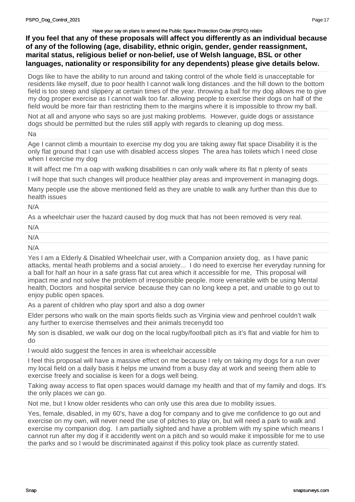**If you feel that any of these proposals will affect you differently as an individual because of any of the following (age, disability, ethnic origin, gender, gender reassignment, marital status, religious belief or non-belief, use of Welsh language, BSL or other languages, nationality or responsibility for any dependents) please give details below.**

Dogs like to have the ability to run around and taking control of the whole field is unacceptable for residents like myself, due to poor health I cannot walk long distances .and the hill down to the bottom field is too steep and slippery at certain times of the year. throwing a ball for my dog allows me to give my dog proper exercise as I cannot walk too far. allowing people to exercise their dogs on half of the field would be more fair than restricting them to the margins where it is impossible to throw my ball.

Not at all and anyone who says so are just making problems. However, guide dogs or assistance dogs should be permitted but the rules still apply with regards to cleaning up dog mess.

Na

Age I cannot climb a mountain to exercise my dog you are taking away flat space Disability it is the only flat ground that I can use with disabled access slopes The area has toilets which I need close when I exercise my dog

It will affect me I'm a oap with walking disabilities n can only walk where its flat n plenty of seats

I will hope that such changes will produce healthier play areas and improvement in managing dogs.

Many people use the above mentioned field as they are unable to walk any further than this due to health issues

N/A

As a wheelchair user the hazard caused by dog muck that has not been removed is very real.

N/A

N/A

N/A

Yes I am a Elderly & Disabled Wheelchair user, with a Companion anxiety dog, as I have panic attacks, mental heath problems and a social anxiety... I do need to exercise her everyday running for a ball for half an hour in a safe grass flat cut area which it accessible for me, This proposal will impact me and not solve the problem of irresponsible people. more venerable with be using Mental health, Doctors and hospital service because they can no long keep a pet, and unable to go out to enjoy public open spaces.

As a parent of children who play sport and also a dog owner

Elder persons who walk on the main sports fields such as Virginia view and penhroel couldn't walk any further to exercise themselves and their animals trecenydd too

My son is disabled, we walk our dog on the local rugby/football pitch as it's flat and viable for him to do

I would aldo suggest the fences in area is wheelchair accessible

I feel this proposal will have a massive effect on me because I rely on taking my dogs for a run over my local field on a daily basis it helps me unwind from a busy day at work and seeing them able to exercise freely and socialise is keen for a dogs well being.

Taking away access to flat open spaces would damage my health and that of my family and dogs. It's the only places we can go.

Not me, but I know older residents who can only use this area due to mobility issues.

Yes, female, disabled, in my 60's, have a dog for company and to give me confidence to go out and exercise on my own, will never need the use of pitches to play on, but will need a park to walk and exercise my companion dog. I am partially sighted and have a problem with my spine which means I cannot run after my dog if it accidently went on a pitch and so would make it impossible for me to use the parks and so I would be discriminated against if this policy took place as currently stated.

Page:17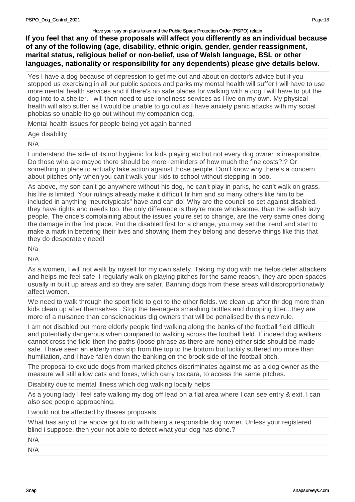**If you feel that any of these proposals will affect you differently as an individual because of any of the following (age, disability, ethnic origin, gender, gender reassignment, marital status, religious belief or non-belief, use of Welsh language, BSL or other languages, nationality or responsibility for any dependents) please give details below.**

Yes I have a dog because of depression to get me out and about on doctor's advice but if you stopped us exercising in all our public spaces and parks my mental health will suffer I will have to use more mental health services and if there's no safe places for walking with a dog I will have to put the dog into to a shelter. I will then need to use loneliness services as I live on my own. My physical health will also suffer as I would be unable to go out as I have anxiety panic attacks with my social phobias so unable Ito go out without my companion dog.

Mental health issues for people being yet again banned

| Age disability |
|----------------|
|                |

N/A

I understand the side of its not hygienic for kids playing etc but not every dog owner is irresponsible. Do those who are maybe there should be more reminders of how much the fine costs?!? Or something in place to actually take action against those people. Don't know why there's a concern about pitches only when you can't walk your kids to school without stepping in poo.

As above, my son can't go anywhere without his dog, he can't play in parks, he can't walk on grass, his life is limited. Your rulings already make it difficult fir him and so many others like him to be included in anything "neurotypicals" have and can do! Why are the council so set against disabled, they have rights and needs too, the only difference is they're more wholesome, than the selfish lazy people. The once's complaining about the issues you're set to change, are the very same ones doing the damage in the first place. Put the disabled first for a change, you may set the trend and start to make a mark in bettering their lives and showing them they belong and deserve things like this that they do desperately need!

N/a

N/A

As a women, I will not walk by myself for my own safety. Taking my dog with me helps deter attackers and helps me feel safe. I regularly walk on playing pitches for the same reaosn, they are open spaces usually in built up areas and so they are safer. Banning dogs from these areas will disproportionatwly affect women.

We need to walk through the sport field to get to the other fields, we clean up after thr dog more than kids clean up after themselves . Stop the teenagers smashing bottles and dropping litter...they are more of a nuisance than conscienacious dig owners that will be penalised by this new rule.

I am not disabled but more elderly people find walking along the banks of the football field difficult and potentially dangerous when compared to walking across the football field. If indeed dog walkers cannot cross the field then the paths (loose phrase as there are none) either side should be made safe. I have seen an elderly man slip from the top to the bottom but luckily suffered mo more than humiliation, and I have fallen down the banking on the brook side of the football pitch.

The proposal to exclude dogs from marked pitches discriminates against me as a dog owner as the measure will still allow cats and foxes, which carry toxicara, to access the same pitches.

Disability due to mental illness which dog walking locally helps

As a young lady I feel safe walking my dog off lead on a flat area where I can see entry & exit. I can also see people approaching.

I would not be affected by theses proposals.

What has any of the above got to do with being a responsible dog owner. Unless your registered blind i suppose, then your not able to detect what your dog has done.?

|--|

N/A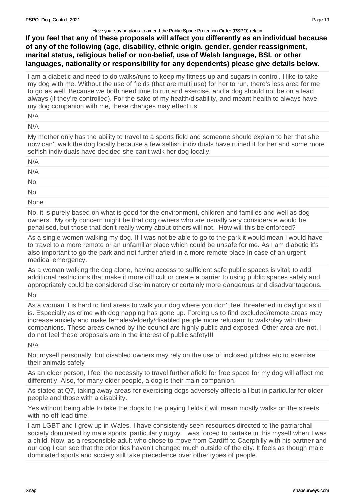**If you feel that any of these proposals will affect you differently as an individual because of any of the following (age, disability, ethnic origin, gender, gender reassignment, marital status, religious belief or non-belief, use of Welsh language, BSL or other languages, nationality or responsibility for any dependents) please give details below.**

I am a diabetic and need to do walks/runs to keep my fitness up and sugars in control. I like to take my dog with me. Without the use of fields (that are multi use) for her to run, there's less area for me to go as well. Because we both need time to run and exercise, and a dog should not be on a lead always (if they're controlled). For the sake of my health/disability, and meant health to always have my dog companion with me, these changes may effect us.

N/A

N/A

My mother only has the ability to travel to a sports field and someone should explain to her that she now can't walk the dog locally because a few selfish individuals have ruined it for her and some more selfish individuals have decided she can't walk her dog locally.

| N/A       |  |  |
|-----------|--|--|
| N/A       |  |  |
| <b>No</b> |  |  |
| <b>No</b> |  |  |
|           |  |  |

**None** 

No, it is purely based on what is good for the environment, children and families and well as dog owners. My only concern might be that dog owners who are usually very considerate would be penalised, but those that don't really worry about others will not. How will this be enforced?

As a single women walking my dog. If I was not be able to go to the park it would mean I would have to travel to a more remote or an unfamiliar place which could be unsafe for me. As I am diabetic it's also important to go the park and not further afield in a more remote place In case of an urgent medical emergency.

As a woman walking the dog alone, having access to sufficient safe public spaces is vital; to add additional restrictions that make it more difficult or create a barrier to using public spaces safely and appropriately could be considered discriminatory or certainly more dangerous and disadvantageous.

No

As a woman it is hard to find areas to walk your dog where you don't feel threatened in daylight as it is. Especially as crime with dog napping has gone up. Forcing us to find excluded/remote areas may increase anxiety and make females/elderly/disabled people more reluctant to walk/play with their companions. These areas owned by the council are highly public and exposed. Other area are not. I do not feel these proposals are in the interest of public safety!!!

N/A

Not myself personally, but disabled owners may rely on the use of inclosed pitches etc to exercise their animals safely

As an older person, I feel the necessity to travel further afield for free space for my dog will affect me differently. Also, for many older people, a dog is their main companion.

As stated at Q7, taking away areas for exercising dogs adversely affects all but in particular for older people and those with a disability.

Yes without being able to take the dogs to the playing fields it will mean mostly walks on the streets with no off lead time.

I am LGBT and I grew up in Wales. I have consistently seen resources directed to the patriarchal society dominated by male sports, particularly rugby. I was forced to partake in this myself when I was a child. Now, as a responsible adult who chose to move from Cardiff to Caerphilly with his partner and our dog I can see that the priorities haven't changed much outside of the city. It feels as though male dominated sports and society still take precedence over other types of people.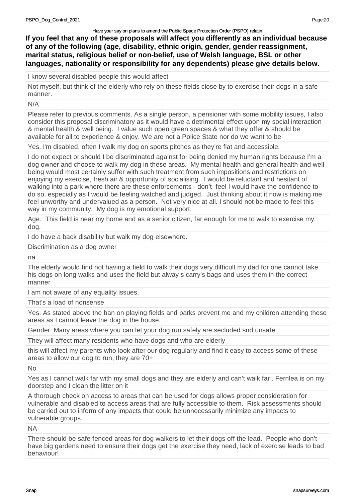**If you feel that any of these proposals will affect you differently as an individual because of any of the following (age, disability, ethnic origin, gender, gender reassignment, marital status, religious belief or non-belief, use of Welsh language, BSL or other languages, nationality or responsibility for any dependents) please give details below.**

I know several disabled people this would affect

Not myself, but think of the elderly who rely on these fields close by to exercise their dogs in a safe manner.

N/A

Please refer to previous comments. As a single person, a pensioner with some mobility issues, I also consider this proposal discriminatory as it would have a detrimental effect upon my social interaction & mental health & well being. I value such open green spaces & what they offer & should be available for all to experience & enjoy. We are not a Police State nor do we want to be

Yes. I'm disabled, often I walk my dog on sports pitches as they're flat and accessible.

I do not expect or should I be discriminated against for being denied my human rights because I'm a dog owner and choose to walk my dog in these areas. My mental health and general health and wellbeing would most certainly suffer with such treatment from such impositions and restrictions on enjoying my exercise, fresh air & opportunity of socialising. I would be reluctant and hesitant of walking into a park where there are these enforcements - don't feel I would have the confidence to do so, especially as I would be feeling watched and judged. Just thinking about it now is making me feel unworthy and undervalued as a person. Not very nice at all. I should not be made to feel this way in my community. My dog is my emotional support.

Age. This field is near my home and as a senior citizen, far enough for me to walk to exercise my dog.

I do have a back disability but walk my dog elsewhere.

Discrimination as a dog owner

na

The elderly would find not having a field to walk their dogs very difficult my dad for one cannot take his dogs on long walks and uses the field but alway s carry's bags and uses them in the correct manner

I am not aware of any equality issues.

That's a load of nonsense

Yes. As stated above the ban on playing fields and parks prevent me and my children attending these areas as I cannot leave the dog in the house.

Gender. Many areas where you can let your dog run safely are secluded snd unsafe.

They will affect many residents who have dogs and who are elderly

this will affect my parents who look after our dog regularly and find it easy to access some of these areas to allow our dog to run, they are 70+

No

Yes as I cannot walk far with my small dogs and they are elderly and can't walk far . Fernlea is on my doorstep and I clean the litter on it

A thorough check on access to areas that can be used for dogs allows proper consideration for vulnerable and disabled to access areas that are fully accessible to them. Risk assessments should be carried out to inform of any impacts that could be unnecessarily minimize any impacts to vulnerable groups.

NA

There should be safe fenced areas for dog walkers to let their dogs off the lead. People who don't have big gardens need to ensure their dogs get the exercise they need, lack of exercise leads to bad behaviour!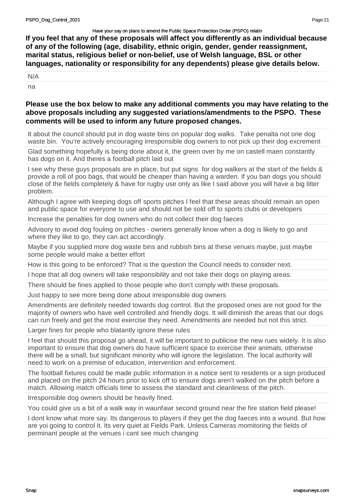**If you feel that any of these proposals will affect you differently as an individual because of any of the following (age, disability, ethnic origin, gender, gender reassignment, marital status, religious belief or non-belief, use of Welsh language, BSL or other languages, nationality or responsibility for any dependents) please give details below.**

N/A

na

# **Please use the box below to make any additional comments you may have relating to the above proposals including any suggested variations/amendments to the PSPO. These comments will be used to inform any future proposed changes.**

It about the council should put in dog waste bins on popular dog walks. Take penalta not one dog waste bin. You're actively encouraging irresponsible dog owners to not pick up their dog excrement

Glad something hopefully is being done about it, the green over by me on castell maen constantly has dogs on it. And theres a football pitch laid out

I see why these guys proposals are in place, but put signs for dog walkers at the start of the fields & provide a roll of poo bags, that would be cheaper than having a warden. If you ban dogs you should close of the fields completely & have for rugby use only as like I said above you will have a big litter problem.

Although I agree with keeping dogs off sports pitches I feel that these areas should remain an open and public space for everyone to use and should not be sold off to sports clubs or developers

Increase the penalties for dog owners who do not collect their dog faeces

Advisory to avoid dog fouling on pitches - owners generally know when a dog is likely to go and where they like to go, they can act accordingly.

Maybe if you supplied more dog waste bins and rubbish bins at these venues maybe, just maybe some people would make a better effort

How is this going to be enforced? That is the question the Council needs to consider next.

I hope that all dog owners will take responsibility and not take their dogs on playing areas.

There should be fines applied to those people who don't comply with these proposals.

Just happy to see more being done about irresponsible dog owners

Amendments are definitely needed towards dog control. But the proposed ones are not good for the majority of owners who have well controlled and friendly dogs. It will diminish the areas that our dogs can run freely and get the most exercise they need. Amendments are needed but not this strict.

Larger fines for people who blatantly ignore these rules

I feel that should this proposal go ahead, it will be important to publicise the new rues widely. It is also important to ensure that dog owners do have sufficient space to exercise their animals, otherwise there will be a small, but significant minority who will ignore the legislation. The local authority will need to work on a premise of education, intervention and enforcement.

The football fixtures could be made public information in a notice sent to residents or a sign produced and placed on the pitch 24 hours prior to kick off to ensure dogs aren't walked on the pitch before a match. Allowing match officials time to assess the standard and cleanliness of the pitch.

Irresponsible dog owners should be heavily fined.

You could give us a bit of a walk way in waunfawr second ground near the fire station field please!

I dont know what more say. Its dangerous to players if they get the dog faeces into a wound. But how are yoi going to control it. Its very quiet at Fields Park. Unless Cameras momitoring the fields of perminant people at the venues i cant see much changing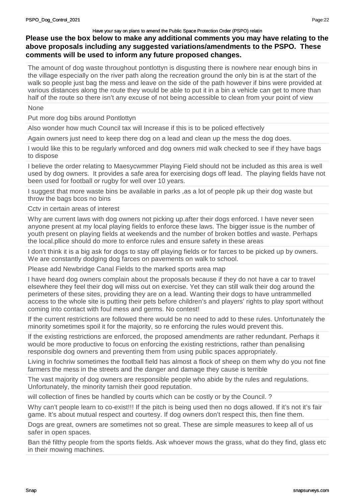# **Please use the box below to make any additional comments you may have relating to the above proposals including any suggested variations/amendments to the PSPO. These comments will be used to inform any future proposed changes.**

The amount of dog waste throughout pontlottyn is disgusting there is nowhere near enough bins in the village especially on the river path along the recreation ground the only bin is at the start of the walk so people just bag the mess and leave on the side of the path however if bins were provided at various distances along the route they would be able to put it in a bin a vehicle can get to more than half of the route so there isn't any excuse of not being accessible to clean from your point of view

None

Put more dog bibs around Pontlottyn

Also wonder how much Council tax will Increase if this is to be policed effectively

Again owners just need to keep there dog on a lead and clean up the mess the dog does.

I would like this to be regularly wnforced and dog owners mid walk checked to see if they have bags to dispose

I believe the order relating to Maesycwmmer Playing Field should not be included as this area is well used by dog owners. It provides a safe area for exercising dogs off lead. The playing fields have not been used for football or rugby for well over 10 years.

I suggest that more waste bins be available in parks ,as a lot of people pik up their dog waste but throw the bags bcos no bins

## Cctv in certain areas of interest

Why are current laws with dog owners not picking up.after their dogs enforced. I have never seen anyone present at my local playing fields to enforce these laws. The bigger issue is the number of youth present on playing fields at weekends and the number of broken bottles and waste. Perhaps the local.pllice should do more to enforce rules and ensure safety in these areas

I don't think it is a big ask for dogs to stay off playing fields or for farces to be picked up by owners. We are constantly dodging dog farces on pavements on walk to school.

Please add Newbridge Canal Fields to the marked sports area map

I have heard dog owners complain about the proposals because if they do not have a car to travel elsewhere they feel their dog will miss out on exercise. Yet they can still walk their dog around the perimeters of these sites, providing they are on a lead. Wanting their dogs to have untrammelled access to the whole site is putting their pets before children's and players' rights to play sport without coming into contact with foul mess and germs. No contest!

If the current restrictions are followed there would be no need to add to these rules. Unfortunately the minority sometimes spoil it for the majority, so re enforcing the rules would prevent this.

If the existing restrictions are enforced, the proposed amendments are rather redundant. Perhaps it would be more productive to focus on enforcing the existing restrictions, rather than penalising responsible dog owners and preventing them from using public spaces appropriately.

Living in fochriw sometimes the football field has almost a flock of sheep on them why do you not fine farmers the mess in the streets and the danger and damage they cause is terrible

The vast majority of dog owners are responsible people who abide by the rules and regulations. Unfortunately, the minority tarnish their good reputation.

will collection of fines be handled by courts which can be costly or by the Council. ?

Why can't people learn to co-exist!!! If the pitch is being used then no dogs allowed. If it's not it's fair game. It's about mutual respect and courtesy. If dog owners don't respect this, then fine them.

Dogs are great, owners are sometimes not so great. These are simple measures to keep all of us safer in open spaces.

Ban thé filthy people from the sports fields. Ask whoever mows the grass, what do they find, glass etc in their mowing machines.

Page:22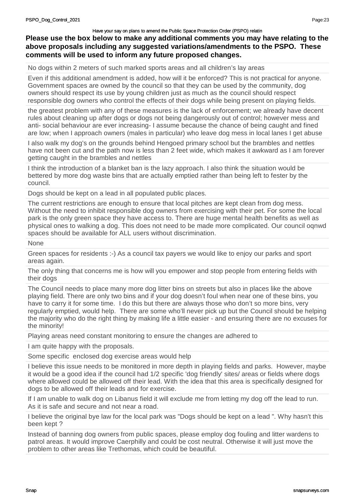# **Please use the box below to make any additional comments you may have relating to the above proposals including any suggested variations/amendments to the PSPO. These comments will be used to inform any future proposed changes.**

No dogs within 2 meters of such marked sports areas and all children's lay areas

Even if this additional amendment is added, how will it be enforced? This is not practical for anyone. Government spaces are owned by the council so that they can be used by the community, dog owners should respect its use by young children just as much as the council should respect responsible dog owners who control the effects of their dogs while being present on playing fields.

the greatest problem with any of these measures is the lack of enforcement; we already have decent rules about cleaning up after dogs or dogs not being dangerously out of control; however mess and anti- social behaviour are ever increasing- I assume because the chance of being caught and fined are low; when I approach owners (males in particular) who leave dog mess in local lanes I get abuse

I also walk my dog's on the grounds behind Hengoed primary school but the brambles and nettles have not been cut and the path now is less than 2 feet wide, which makes it awkward as I am forever getting caught in the brambles and nettles

I think the introduction of a blanket ban is the lazy approach. I also think the situation would be bettered by more dog waste bins that are actually emptied rather than being left to fester by the council.

Dogs should be kept on a lead in all populated public places.

The current restrictions are enough to ensure that local pitches are kept clean from dog mess. Without the need to inhibit responsible dog owners from exercising with their pet. For some the local park is the only green space they have access to. There are huge mental health benefits as well as physical ones to walking a dog. This does not need to be made more complicated. Our council oqnwd spaces should be available for ALL users without discrimination.

None

Green spaces for residents :-) As a council tax payers we would like to enjoy our parks and sport areas again.

The only thing that concerns me is how will you empower and stop people from entering fields with their dogs

The Council needs to place many more dog litter bins on streets but also in places like the above playing field. There are only two bins and if your dog doesn't foul when near one of these bins, you have to carry it for some time. I do this but there are always those who don't so more bins, very regularly emptied, would help. There are some who'll never pick up but the Council should be helping the majority who do the right thing by making life a little easier - and ensuring there are no excuses for the minority!

Playing areas need constant monitoring to ensure the changes are adhered to

I am quite happy with the proposals.

Some specific enclosed dog exercise areas would help

I believe this issue needs to be monitored in more depth in playing fields and parks. However, maybe it would be a good idea if the council had 1/2 specific 'dog friendly' sites/ areas or fields where dogs where allowed could be allowed off their lead. With the idea that this area is specifically designed for dogs to be allowed off their leads and for exercise.

If I am unable to walk dog on Libanus field it will exclude me from letting my dog off the lead to run. As it is safe and secure and not near a road.

I believe the original bye law for the local park was "Dogs should be kept on a lead ". Why hasn't this been kept ?

Instead of banning dog owners from public spaces, please employ dog fouling and litter wardens to patrol areas. It would improve Caerphilly and could be cost neutral. Otherwise it will just move the problem to other areas like Trethomas, which could be beautiful.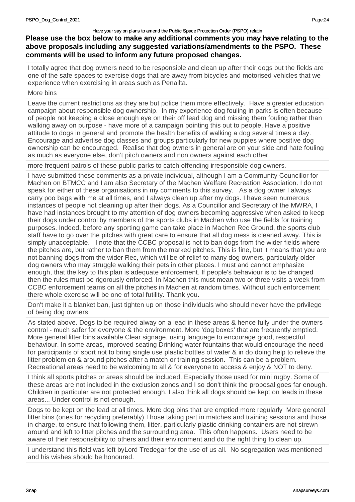# **Please use the box below to make any additional comments you may have relating to the above proposals including any suggested variations/amendments to the PSPO. These comments will be used to inform any future proposed changes.**

I totally agree that dog owners need to be responsible and clean up after their dogs but the fields are one of the safe spaces to exercise dogs that are away from bicycles and motorised vehicles that we experience when exercising in areas such as Penallta.

## More bins

Leave the current restrictions as they are but police them more effectively. Have a greater education campaign about responsible dog ownership. In my experience dog fouling in parks is often because of people not keeping a close enough eye on their off lead dog and missing them fouling rather than walking away on purpose - have more of a campaign pointing this out to people. Have a positive attitude to dogs in general and promote the health benefits of walking a dog several times a day. Encourage and advertise dog classes and groups particularly for new puppies where positive dog ownership can be encouraged. Realise that dog owners in general are on your side and hate fouling as much as everyone else, don't pitch owners and non owners against each other.

more frequent patrols of these public parks to catch offending irresponsible dog owners.

I have submitted these comments as a private individual, although I am a Community Councillor for Machen on BTMCC and I am also Secretary of the Machen Welfare Recreation Association. I do not speak for either of these organisations in my comments to this survey. As a dog owner I always carry poo bags with me at all times, and I always clean up after my dogs. I have seen numerous instances of people not cleaning up after their dogs. As a Councillor and Secretary of the MWRA, I have had instances brought to my attention of dog owners becoming aggressive when asked to keep their dogs under control by members of the sports clubs in Machen who use the fields for training purposes. Indeed, before any sporting game can take place in Machen Rec Ground, the sports club staff have to go over the pitches with great care to ensure that all dog mess is cleaned away. This is simply unacceptable. I note that the CCBC proposal is not to ban dogs from the wider fields where the pitches are, but rather to ban them from the marked pitches. This is fine, but it means that you are not banning dogs from the wider Rec, which will be of relief to many dog owners, particularly older dog owners who may struggle walking their pets in other places. I must and cannot emphasize enough, that the key to this plan is adequate enforcement. If people's behaviour is to be changed then the rules must be rigorously enforced. In Machen this must mean two or three visits a week from CCBC enforcement teams on all the pitches in Machen at random times. Without such enforcement there whole exercise will be one of total futility. Thank you.

Don't make it a blanket ban, just tighten up on those individuals who should never have the privilege of being dog owners

As stated above. Dogs to be required alway on a lead in these areas & hence fully under the owners control - much safer for everyone & the environment. More 'dog boxes' that are frequently emptied. More general litter bins available Clear signage, using language to encourage good, respectful behaviour. In some areas, improved seating Drinking water fountains that would encourage the need for participants of sport not to bring single use plastic bottles of water & in do doing help to relieve the litter problem on & around pitches after a match or training session. This can be a problem. Recreational areas need to be welcoming to all & for everyone to access & enjoy & NOT to deny.

I think all sports pitches or areas should be included. Especially those used for mini rugby. Some of these areas are not included in the exclusion zones and I so don't think the proposal goes far enough. Children in particular are not protected enough. I also think all dogs should be kept on leads in these areas... Under control is not enough.

Dogs to be kept on the lead at all times. More dog bins that are emptied more regularly More general litter bins (ones for recycling preferably) Those taking part in matches and training sessions and those in charge, to ensure that following them, litter, particularly plastic drinking containers are not strewn around and left to litter pitches and the surrounding area. This often happens. Users need to be aware of their responsibility to others and their environment and do the right thing to clean up.

I understand this field was left byLord Tredegar for the use of us all. No segregation was mentioned and his wishes should be honoured.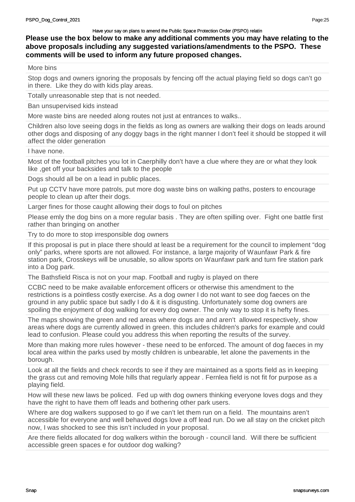More bins

Stop dogs and owners ignoring the proposals by fencing off the actual playing field so dogs can't go in there. Like they do with kids play areas.

Totally unreasonable step that is not needed.

Ban unsupervised kids instead

More waste bins are needed along routes not just at entrances to walks..

Children also love seeing dogs in the fields as long as owners are walking their dogs on leads around other dogs and disposing of any doggy bags in the right manner I don't feel it should be stopped it will affect the older generation

I have none.

Most of the football pitches you lot in Caerphilly don't have a clue where they are or what they look like ,get off your backsides and talk to the people

Dogs should all be on a lead in public places.

Put up CCTV have more patrols, put more dog waste bins on walking paths, posters to encourage people to clean up after their dogs.

Larger fines for those caught allowing their dogs to foul on pitches

Please emly the dog bins on a more regular basis . They are often spilling over. Fight one battle first rather than bringing on another

Try to do more to stop irresponsible dog owners

If this proposal is put in place there should at least be a requirement for the council to implement "dog only" parks, where sports are not allowed. For instance, a large majority of Waunfawr Park & fire station park, Crosskeys will be unusable, so allow sports on Waunfawr park and turn fire station park into a Dog park.

The Bathsfield Risca is not on your map. Football and rugby is played on there

CCBC need to be make available enforcement officers or otherwise this amendment to the restrictions is a pointless costly exercise. As a dog owner I do not want to see dog faeces on the ground in any public space but sadly I do & it is disgusting. Unfortunately some dog owners are spoiling the enjoyment of dog walking for every dog owner. The only way to stop it is hefty fines.

The maps showing the green and red areas where dogs are and aren't allowed respectively, show areas where dogs are currently allowed in green. this includes children's parks for example and could lead to confusion. Please could you address this when reporting the results of the survey.

More than making more rules however - these need to be enforced. The amount of dog faeces in my local area within the parks used by mostly children is unbearable, let alone the pavements in the borough.

Look at all the fields and check records to see if they are maintained as a sports field as in keeping the grass cut and removing Mole hills that regularly appear . Fernlea field is not fit for purpose as a playing field.

How will these new laws be policed. Fed up with dog owners thinking everyone loves dogs and they have the right to have them off leads and bothering other park users.

Where are dog walkers supposed to go if we can't let them run on a field. The mountains aren't accessible for everyone and well behaved dogs love a off lead run. Do we all stay on the cricket pitch now, I was shocked to see this isn't included in your proposal.

Are there fields allocated for dog walkers within the borough - council land. Will there be sufficient accessible green spaces e for outdoor dog walking?

Page:25